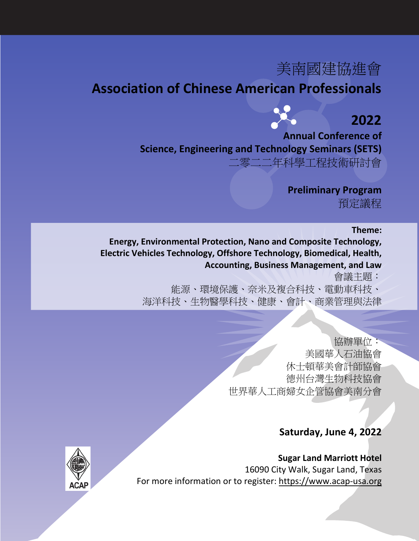# 美南國建協進會

### **Association of Chinese American Professionals**



## **2022**

**Annual Conference of Science, Engineering and Technology Seminars (SETS)**

二零二二年科學工程技術研討會

**Preliminary Program** 預定議程

#### **Theme:**

**Energy, Environmental Protection, Nano and Composite Technology, Electric Vehicles Technology, Offshore Technology, Biomedical, Health, Accounting, Business Management, and Law**

會議主題:

能源、環境保護、奈米及複合科技、電動車科技、 海洋科技、生物醫學科技、健康、會計、商業管理與法律

> 協辦單位: 美國華人石油協會 休士頓華美會計師協會 德州台灣生物科技協會 世界華人工商婦女企管協會美南分會

### **Saturday, June 4, 2022**

**Sugar Land Marriott Hotel** 16090 City Walk, Sugar Land, Texas For more information or to register: [https://www.acap-usa.org](https://www.acap-usa.org/)

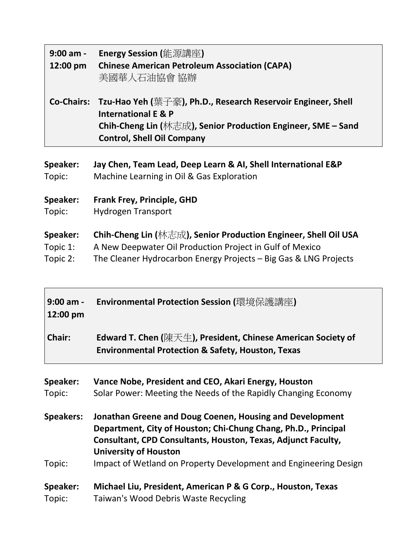| $9:00$ am -<br>12:00 pm | Energy Session (能源講座)<br><b>Chinese American Petroleum Association (CAPA)</b><br>美國華人石油協會 協辦                                                                                                                   |
|-------------------------|----------------------------------------------------------------------------------------------------------------------------------------------------------------------------------------------------------------|
|                         | Co-Chairs: Tzu-Hao Yeh (葉子豪), Ph.D., Research Reservoir Engineer, Shell<br><b>International E &amp; P</b><br>Chih-Cheng Lin (林志成), Senior Production Engineer, SME – Sand<br><b>Control, Shell Oil Company</b> |
| <b>Speaker:</b>         | Jay Chen, Team Lead, Deep Learn & AI, Shell International E&P                                                                                                                                                  |
| Topic:                  | Machine Learning in Oil & Gas Exploration                                                                                                                                                                      |
| <b>Speaker:</b>         | <b>Frank Frey, Principle, GHD</b>                                                                                                                                                                              |
| Topic:                  | <b>Hydrogen Transport</b>                                                                                                                                                                                      |

**Speaker: Chih-Cheng Lin (**林志成**), Senior Production Engineer, Shell Oil USA**

Topic 1: A New Deepwater Oil Production Project in Gulf of Mexico<br>Topic 2: The Cleaner Hydrocarbon Energy Projects – Big Gas & LNG The Cleaner Hydrocarbon Energy Projects - Big Gas & LNG Projects

| $9:00$ am -<br>12:00 pm | Environmental Protection Session (環境保護講座)                                                                                                                                                                                   |
|-------------------------|-----------------------------------------------------------------------------------------------------------------------------------------------------------------------------------------------------------------------------|
| Chair:                  | Edward T. Chen (陳天生), President, Chinese American Society of<br><b>Environmental Protection &amp; Safety, Houston, Texas</b>                                                                                                |
| Speaker:<br>Topic:      | Vance Nobe, President and CEO, Akari Energy, Houston<br>Solar Power: Meeting the Needs of the Rapidly Changing Economy                                                                                                      |
| <b>Speakers:</b>        | Jonathan Greene and Doug Coenen, Housing and Development<br>Department, City of Houston; Chi-Chung Chang, Ph.D., Principal<br>Consultant, CPD Consultants, Houston, Texas, Adjunct Faculty,<br><b>University of Houston</b> |
| Topic:                  | Impact of Wetland on Property Development and Engineering Design                                                                                                                                                            |
| Speaker:<br>Topic:      | Michael Liu, President, American P & G Corp., Houston, Texas<br>Taiwan's Wood Debris Waste Recycling                                                                                                                        |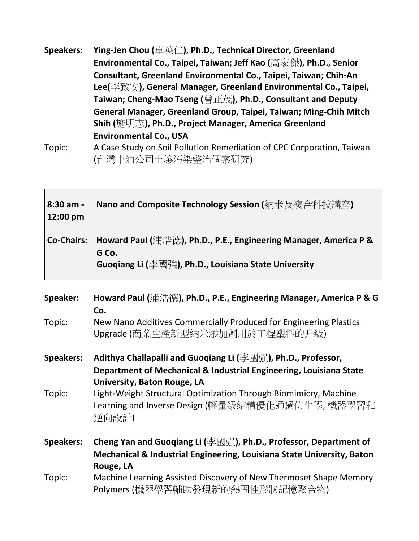**Speakers: Ying-Jen Chou (**卓英仁**), Ph.D., Technical Director, Greenland Environmental Co., Taipei, Taiwan; Jeff Kao (**高家傑**), Ph.D., Senior Consultant, Greenland Environmental Co., Taipei, Taiwan; Chih-An Lee(**李致安**), General Manager, Greenland Environmental Co., Taipei, Taiwan; Cheng-Mao Tseng (**曾正茂**), Ph.D., Consultant and Deputy General Manager, Greenland Group, Taipei, Taiwan; Ming-Chih Mitch Shih (**施明志**), Ph.D., Project Manager, America Greenland Environmental Co., USA**

Topic: A Case Study on Soil Pollution Remediation of CPC Corporation, Taiwan (台灣中油公司土壤汚染整治個案研究)

| $8:30$ am - | Nano and Composite Technology Session (納米及複合科技講座)                           |
|-------------|-----------------------------------------------------------------------------|
| 12:00 pm    |                                                                             |
|             |                                                                             |
|             | Co-Chairs: Howard Paul (浦浩德), Ph.D., P.E., Engineering Manager, America P & |
|             | G Co.                                                                       |
|             | Guoqiang Li (李國強), Ph.D., Louisiana State University                        |

| Speaker:         | Howard Paul (浦浩德), Ph.D., P.E., Engineering Manager, America P & G<br>Co.<br>New Nano Additives Commercially Produced for Engineering Plastics |
|------------------|------------------------------------------------------------------------------------------------------------------------------------------------|
| Topic:           | Upgrade (商業生產新型納米添加劑用於工程塑料的升級)                                                                                                                 |
| <b>Speakers:</b> | Adithya Challapalli and Guoqiang Li (李國强), Ph.D., Professor,                                                                                   |
|                  | Department of Mechanical & Industrial Engineering, Louisiana State                                                                             |
|                  | University, Baton Rouge, LA                                                                                                                    |
| Topic:           | Light-Weight Structural Optimization Through Biomimicry, Machine<br>Learning and Inverse Design (輕量級結構優化通過仿生學, 機器學習和<br>逆向設計)                  |
| <b>Speakers:</b> | Cheng Yan and Guoqiang Li (李國强), Ph.D., Professor, Department of                                                                               |
|                  | Mechanical & Industrial Engineering, Louisiana State University, Baton<br>Rouge, LA                                                            |
| Topic:           | Machine Learning Assisted Discovery of New Thermoset Shape Memory<br>Polymers (機器學習輔助發現新的熱固性形狀記憶聚合物)                                           |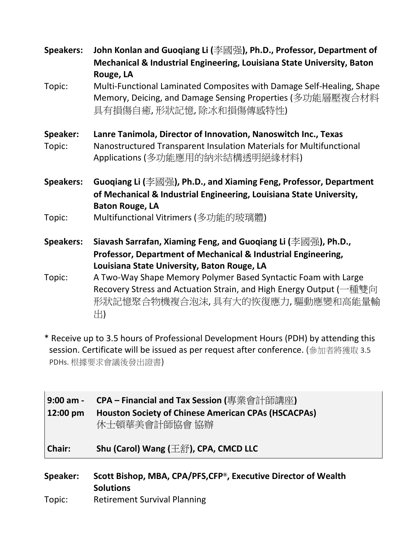| <b>Speakers:</b> | John Konlan and Guoqiang Li (李國强), Ph.D., Professor, Department of<br>Mechanical & Industrial Engineering, Louisiana State University, Baton<br>Rouge, LA          |
|------------------|--------------------------------------------------------------------------------------------------------------------------------------------------------------------|
| Topic:           | Multi-Functional Laminated Composites with Damage Self-Healing, Shape<br>Memory, Deicing, and Damage Sensing Properties (多功能層壓複合材料<br>具有損傷自癒,形狀記憶,除冰和損傷傳感特性)       |
| Speaker:         | Lanre Tanimola, Director of Innovation, Nanoswitch Inc., Texas                                                                                                     |
| Topic:           | Nanostructured Transparent Insulation Materials for Multifunctional<br>Applications (多功能應用的納米結構透明絕緣材料)                                                             |
| <b>Speakers:</b> | Guoqiang Li (李國强), Ph.D., and Xiaming Feng, Professor, Department<br>of Mechanical & Industrial Engineering, Louisiana State University,<br><b>Baton Rouge, LA</b> |
| Topic:           | Multifunctional Vitrimers (多功能的玻璃體)                                                                                                                                |
| <b>Speakers:</b> | Siavash Sarrafan, Xiaming Feng, and Guoqiang Li (李國强), Ph.D.,                                                                                                      |
|                  | Professor, Department of Mechanical & Industrial Engineering,<br>Louisiana State University, Baton Rouge, LA                                                       |
| Topic:           | A Two-Way Shape Memory Polymer Based Syntactic Foam with Large                                                                                                     |
|                  | Recovery Stress and Actuation Strain, and High Energy Output (一種雙向<br>形狀記憶聚合物機複合泡沫,具有大的恢復應力,驅動應變和高能量輸<br>出)                                                        |

\* Receive up to 3.5 hours of Professional Development Hours (PDH) by attending this session. Certificate will be issued as per request after conference. (參加者將獲取 3.5 PDHs. 根據要求會議後發出證書)

| 9:00 am -<br>$\vert$ 12:00 pm | CPA – Financial and Tax Session (專業會計師講座)<br><b>Houston Society of Chinese American CPAs (HSCACPAs)</b><br>休士頓華美會計師協會 協辦 |
|-------------------------------|--------------------------------------------------------------------------------------------------------------------------|
| Chair:                        | Shu (Carol) Wang $(\pm \hat{\mathbf{\hat{\pi}}})$ , CPA, CMCD LLC                                                        |

- **Speaker: Scott Bishop, MBA, CPA/PFS,CFP®, Executive Director of Wealth Solutions**
- Topic: Retirement Survival Planning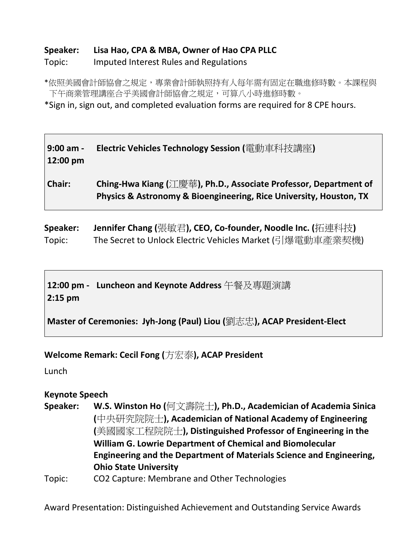#### **Speaker: Lisa Hao, CPA & MBA, Owner of Hao CPA PLLC**

#### Topic: Imputed Interest Rules and Regulations

\*依照美國會計師協會之規定,專業會計師執照持有人每年需有固定在職進修時數。本課程與 下午商業管理講座合乎美國會計師協會之規定,可算八小時進修時數。

\*Sign in, sign out, and completed evaluation forms are required for 8 CPE hours.

#### **9:00 am - Electric Vehicles Technology Session (**電動車科技講座**) 12:00 pm**

**Chair: Ching-Hwa Kiang (**江慶華**), Ph.D., Associate Professor, Department of Physics & Astronomy & Bioengineering, Rice University, Houston, TX**

**Speaker: Jennifer Chang (**張敏君**), CEO, Co-founder, Noodle Inc. (**拓連科技**)**  Topic: The Secret to Unlock Electric Vehicles Market (引爆電動車產業契機)

**12:00 pm - Luncheon and Keynote Address** 午餐及專題演講 **2:15 pm** 

**Master of Ceremonies: Jyh-Jong (Paul) Liou (**劉志忠**), ACAP President-Elect**

**Welcome Remark: Cecil Fong (**方宏泰**), ACAP President**

Lunch

#### **Keynote Speech**

- **Speaker: W.S. Winston Ho (**何文壽院士**), Ph.D., Academician of Academia Sinica (**中央研究院院士**), Academician of National Academy of Engineering (**美國國家工程院院士**), Distinguished Professor of Engineering in the William G. Lowrie Department of Chemical and Biomolecular Engineering and the Department of Materials Science and Engineering, Ohio State University**
- Topic: CO2 Capture: Membrane and Other Technologies

Award Presentation: Distinguished Achievement and Outstanding Service Awards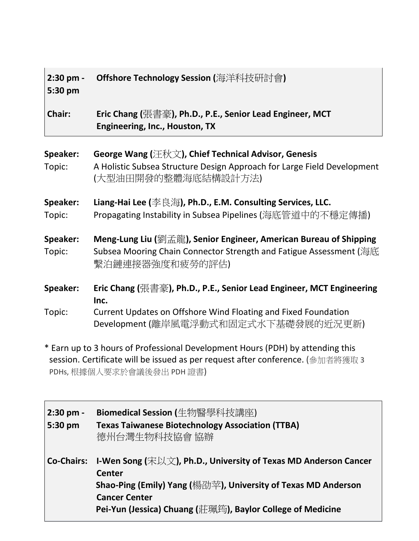| 2:30 pm -<br>5:30 pm | <b>Offshore Technology Session (</b> 海洋科技研討會)                                                                                                                                          |
|----------------------|----------------------------------------------------------------------------------------------------------------------------------------------------------------------------------------|
| Chair:               | Eric Chang (張書豪), Ph.D., P.E., Senior Lead Engineer, MCT<br>Engineering, Inc., Houston, TX                                                                                             |
| Speaker:<br>Topic:   | George Wang (汪秋文), Chief Technical Advisor, Genesis<br>A Holistic Subsea Structure Design Approach for Large Field Development<br>(大型油田開發的整體海底結構設計方法)                                  |
| Speaker:<br>Topic:   | Liang-Hai Lee (李良海), Ph.D., E.M. Consulting Services, LLC.<br>Propagating Instability in Subsea Pipelines (海底管道中的不穩定傳播)                                                                |
| Speaker:<br>Topic:   | Meng-Lung Liu (劉孟龍), Senior Engineer, American Bureau of Shipping<br>Subsea Mooring Chain Connector Strength and Fatigue Assessment (海底<br>繫泊鏈連接器強度和疲勞的評估)                             |
| Speaker:<br>Topic:   | Eric Chang (張書豪), Ph.D., P.E., Senior Lead Engineer, MCT Engineering<br>Inc.<br>Current Updates on Offshore Wind Floating and Fixed Foundation<br>Development (離岸風電浮動式和固定式水下基礎發展的近況更新) |

\* Earn up to 3 hours of Professional Development Hours (PDH) by attending this session. Certificate will be issued as per request after conference. (參加者將獲取 3 PDHs, 根據個人要求於會議後發出 PDH 證書)

 $\overline{\phantom{0}}$ 

| $2:30$ pm -       | Biomedical Session (牛物醫學科技講座)                                   |
|-------------------|-----------------------------------------------------------------|
| 5:30 pm           | <b>Texas Taiwanese Biotechnology Association (TTBA)</b>         |
|                   | 德州台灣生物科技協會 協辦                                                   |
|                   |                                                                 |
| <b>Co-Chairs:</b> | I-Wen Song (宋以文), Ph.D., University of Texas MD Anderson Cancer |
|                   | <b>Center</b>                                                   |
|                   | Shao-Ping (Emily) Yang (楊劭苹), University of Texas MD Anderson   |
|                   | <b>Cancer Center</b>                                            |
|                   | Pei-Yun (Jessica) Chuang (莊珮筠), Baylor College of Medicine      |
|                   |                                                                 |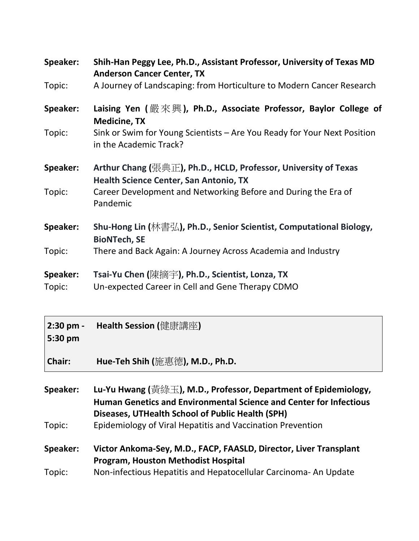| Speaker:           | Shih-Han Peggy Lee, Ph.D., Assistant Professor, University of Texas MD<br><b>Anderson Cancer Center, TX</b> |
|--------------------|-------------------------------------------------------------------------------------------------------------|
| Topic:             | A Journey of Landscaping: from Horticulture to Modern Cancer Research                                       |
| Speaker:           | Laising Yen (嚴來興), Ph.D., Associate Professor, Baylor College of<br><b>Medicine, TX</b>                     |
| Topic:             | Sink or Swim for Young Scientists - Are You Ready for Your Next Position<br>in the Academic Track?          |
| Speaker:           | Arthur Chang (張典正), Ph.D., HCLD, Professor, University of Texas<br>Health Science Center, San Antonio, TX   |
| Topic:             | Career Development and Networking Before and During the Era of<br>Pandemic                                  |
| Speaker:           | Shu-Hong Lin (林書弘), Ph.D., Senior Scientist, Computational Biology,<br><b>BioNTech, SE</b>                  |
| Topic:             | There and Back Again: A Journey Across Academia and Industry                                                |
| Speaker:<br>Topic: | Tsai-Yu Chen (陳摘字), Ph.D., Scientist, Lonza, TX<br>Un-expected Career in Cell and Gene Therapy CDMO         |

| $2:30$ pm -<br>5:30 pm | <b>Health Session (</b> 健康講座)                                   |
|------------------------|-----------------------------------------------------------------|
| Chair:                 | Hue-Teh Shih (施惠德), M.D., Ph.D.                                 |
| Speaker:               | Lu-Yu Hwang (黃綠玉), M.D., Professor, Department of Epidemiology, |

**Human Genetics and Environmental Science and Center for Infectious Diseases, UTHealth School of Public Health (SPH)** Topic: Epidemiology of Viral Hepatitis and Vaccination Prevention

**Speaker: Victor Ankoma-Sey, M.D., FACP, FAASLD, Director, Liver Transplant Program, Houston Methodist Hospital** Topic: Non-infectious Hepatitis and Hepatocellular Carcinoma- An Update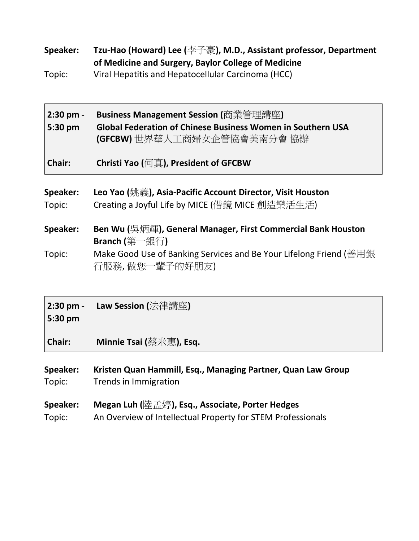**Speaker: Tzu-Hao (Howard) Lee (**李子豪**), M.D., Assistant professor, Department of Medicine and Surgery, Baylor College of Medicine** 

Topic: Viral Hepatitis and Hepatocellular Carcinoma (HCC)

| $2:30$ pm -<br>$5:30 \text{ pm}$ | Business Management Session (商業管理講座)<br><b>Global Federation of Chinese Business Women in Southern USA</b><br>(GFCBW)世界華人工商婦女企管協會美南分會協辦 |
|----------------------------------|-----------------------------------------------------------------------------------------------------------------------------------------|
| Chair:                           | Christi Yao (何真), President of GFCBW                                                                                                    |

| Speaker: | Leo Yao (姚義), Asia-Pacific Account Director, Visit Houston                           |
|----------|--------------------------------------------------------------------------------------|
| Topic:   | Creating a Joyful Life by MICE (借鏡 MICE 創造樂活生活)                                      |
| Speaker: | Ben Wu (吳炳輝), General Manager, First Commercial Bank Houston<br>Branch (第一銀行)        |
| Topic:   | Make Good Use of Banking Services and Be Your Lifelong Friend (善用銀<br>行服務,做您一輩子的好朋友) |

**2:30 pm - Law Session (**法律講座**) 5:30 pm** 

**Chair: Minnie Tsai (**蔡米惠**), Esq.**

| Speaker: | Kristen Quan Hammill, Esq., Managing Partner, Quan Law Group |
|----------|--------------------------------------------------------------|
| Topic:   | Trends in Immigration                                        |

- **Speaker: Megan Luh (**陸孟婷**), Esq., Associate, Porter Hedges**
- Topic: An Overview of Intellectual Property for STEM Professionals